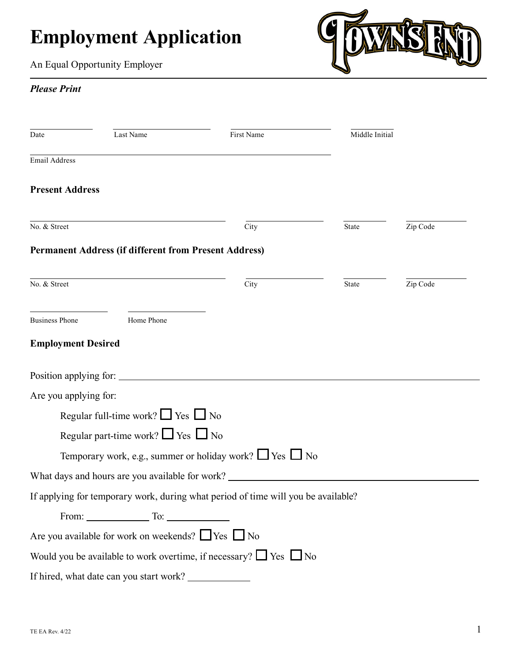An Equal Opportunity Employer



### *Please Print*

| Date                      | Last Name                                                    | First Name                                                                        | Middle Initial |          |
|---------------------------|--------------------------------------------------------------|-----------------------------------------------------------------------------------|----------------|----------|
| Email Address             |                                                              |                                                                                   |                |          |
| <b>Present Address</b>    |                                                              |                                                                                   |                |          |
| No. & Street              |                                                              | City                                                                              | <b>State</b>   | Zip Code |
|                           | <b>Permanent Address (if different from Present Address)</b> |                                                                                   |                |          |
| No. & Street              |                                                              | City                                                                              | State          | Zip Code |
| <b>Business Phone</b>     | Home Phone                                                   |                                                                                   |                |          |
| <b>Employment Desired</b> |                                                              |                                                                                   |                |          |
|                           | Position applying for:                                       |                                                                                   |                |          |
| Are you applying for:     |                                                              |                                                                                   |                |          |
|                           | Regular full-time work? $\Box$ Yes $\Box$ No                 |                                                                                   |                |          |
|                           | Regular part-time work? $\Box$ Yes $\Box$ No                 |                                                                                   |                |          |
|                           |                                                              | Temporary work, e.g., summer or holiday work? $\Box$ Yes $\Box$ No                |                |          |
|                           |                                                              | What days and hours are you available for work? ________________________________  |                |          |
|                           |                                                              | If applying for temporary work, during what period of time will you be available? |                |          |
|                           | From: $\qquad \qquad \qquad$ To: $\qquad \qquad$             |                                                                                   |                |          |
|                           | Are you available for work on weekends? $\Box$ Yes $\Box$ No |                                                                                   |                |          |
|                           |                                                              | Would you be available to work overtime, if necessary? $\Box$ Yes $\Box$ No       |                |          |
|                           | If hired, what date can you start work?                      |                                                                                   |                |          |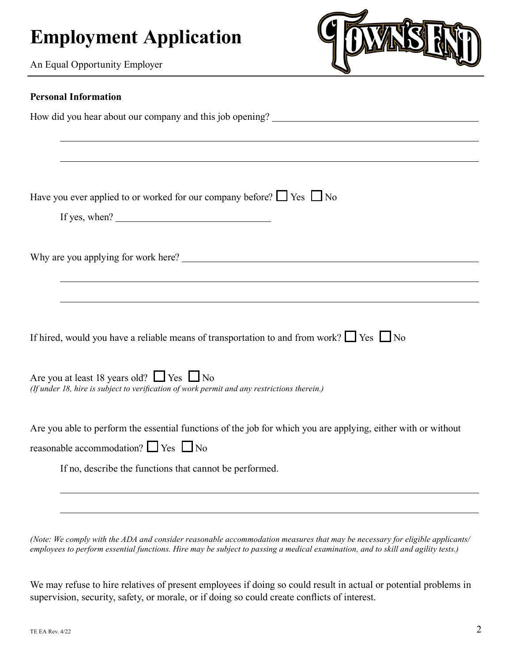An Equal Opportunity Employer



| <b>Personal Information</b>                                                                                                                        |
|----------------------------------------------------------------------------------------------------------------------------------------------------|
| How did you hear about our company and this job opening?                                                                                           |
|                                                                                                                                                    |
| Have you ever applied to or worked for our company before? $\Box$ Yes $\Box$ No                                                                    |
| If yes, when? $\sqrt{\frac{2}{1-\frac{1}{2}} + \frac{1}{2-\frac{1}{2}} + \frac{1}{2-\frac{1}{2}}}$                                                 |
|                                                                                                                                                    |
|                                                                                                                                                    |
| If hired, would you have a reliable means of transportation to and from work? $\Box$ Yes $\Box$ No                                                 |
| Are you at least 18 years old? $\Box$ Yes $\Box$ No<br>(If under 18, hire is subject to verification of work permit and any restrictions therein.) |
| Are you able to perform the essential functions of the job for which you are applying, either with or without                                      |
| reasonable accommodation? $\Box$ Yes $\Box$ No                                                                                                     |
| If no, describe the functions that cannot be performed.                                                                                            |
|                                                                                                                                                    |

*(Note: We comply with the ADA and consider reasonable accommodation measures that may be necessary for eligible applicants/ employees to perform essential functions. Hire may be subject to passing a medical examination, and to skill and agility tests.)*

We may refuse to hire relatives of present employees if doing so could result in actual or potential problems in supervision, security, safety, or morale, or if doing so could create conflicts of interest.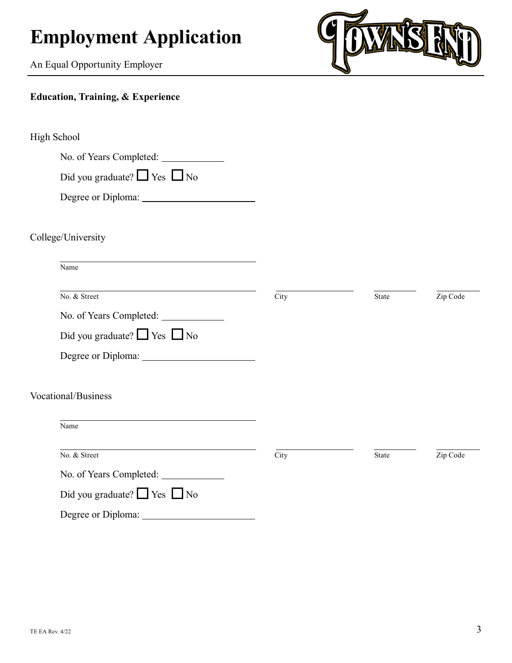An Equal Opportunity Employer



### **Education, Training, & Experience**

| High School                            |      |       |          |
|----------------------------------------|------|-------|----------|
|                                        |      |       |          |
| Did you graduate? $\Box$ Yes $\Box$ No |      |       |          |
|                                        |      |       |          |
| College/University                     |      |       |          |
| Name                                   |      |       |          |
| No. & Street                           | City | State | Zip Code |
|                                        |      |       |          |
| Did you graduate? $\Box$ Yes $\Box$ No |      |       |          |
|                                        |      |       |          |
| Vocational/Business                    |      |       |          |
| Name                                   |      |       |          |
| No. & Street                           | City | State | Zip Code |
|                                        |      |       |          |
| Did you graduate? $\Box$ Yes $\Box$ No |      |       |          |
| Degree or Diploma:                     |      |       |          |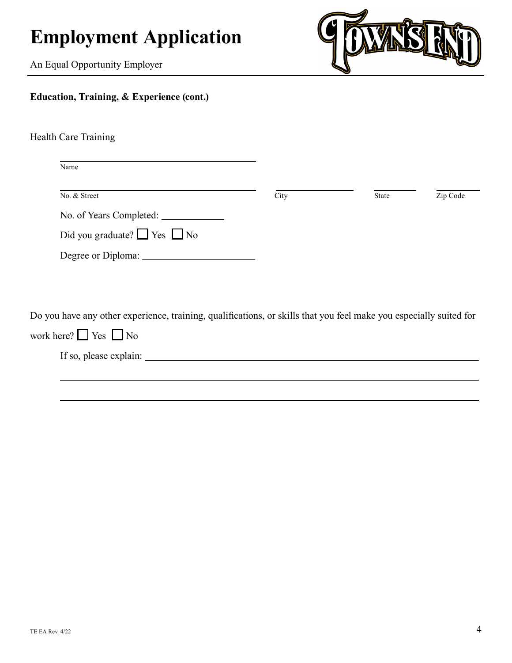An Equal Opportunity Employer



### **Education, Training, & Experience (cont.)**

Health Care Training

| Name                                   |      |       |          |
|----------------------------------------|------|-------|----------|
| No. & Street                           | City | State | Zip Code |
| No. of Years Completed:                |      |       |          |
| Did you graduate? $\Box$ Yes $\Box$ No |      |       |          |
| Degree or Diploma:                     |      |       |          |

Do you have any other experience, training, qualifications, or skills that you feel make you especially suited for

work here?  $\Box$  Yes  $\Box$  No

If so, please explain: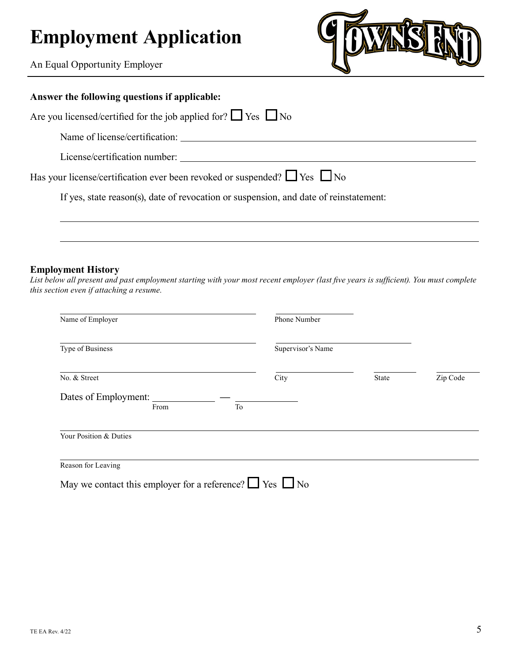An Equal Opportunity Employer

| Answer the following questions if applicable:                                                                                                                                                                  |                   |
|----------------------------------------------------------------------------------------------------------------------------------------------------------------------------------------------------------------|-------------------|
| Are you licensed/certified for the job applied for? $\Box$ Yes $\Box$ No                                                                                                                                       |                   |
| Name of license/certification:                                                                                                                                                                                 |                   |
|                                                                                                                                                                                                                |                   |
| Has your license/certification ever been revoked or suspended? $\Box$ Yes $\Box$ No                                                                                                                            |                   |
| If yes, state reason(s), date of revocation or suspension, and date of reinstatement:                                                                                                                          |                   |
|                                                                                                                                                                                                                |                   |
|                                                                                                                                                                                                                |                   |
| <b>Employment History</b><br>List below all present and past employment starting with your most recent employer (last five years is sufficient). You must complete<br>this section even if attaching a resume. |                   |
| Name of Employer                                                                                                                                                                                               | Phone Number      |
| Type of Business                                                                                                                                                                                               | Supervisor's Name |

Reason for Leaving

| Dates of Employment: |      |                |  |  |
|----------------------|------|----------------|--|--|
|                      | From | T <sub>o</sub> |  |  |
|                      |      |                |  |  |

May we contact this employer for a reference?  $\Box$  Yes  $\Box$  No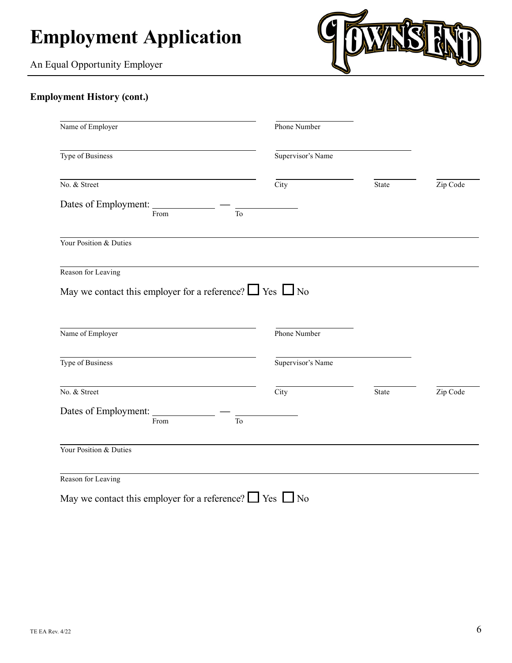

### **Employment History (cont.)**

| Name of Employer                                                                         | Phone Number      |       |          |
|------------------------------------------------------------------------------------------|-------------------|-------|----------|
| Type of Business                                                                         | Supervisor's Name |       |          |
| No. & Street                                                                             | City              | State | Zip Code |
| Dates of Employment:<br>T <sub>o</sub><br>From                                           |                   |       |          |
| Your Position & Duties                                                                   |                   |       |          |
|                                                                                          |                   |       |          |
| Reason for Leaving<br>May we contact this employer for a reference? $\Box$ Yes $\Box$ No |                   |       |          |
|                                                                                          | Phone Number      |       |          |
| Type of Business                                                                         | Supervisor's Name |       |          |
| No. & Street                                                                             | City              | State |          |
| Name of Employer<br>Dates of Employment:<br><b>To</b><br>From                            |                   |       | Zip Code |
| Your Position & Duties                                                                   |                   |       |          |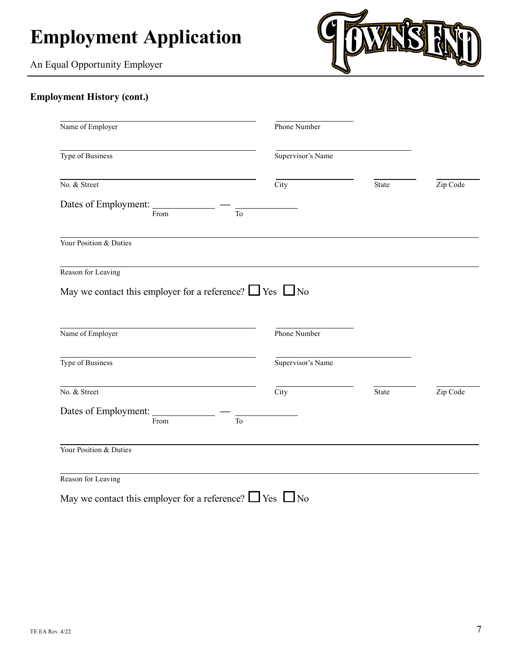

### **Employment History (cont.)**

| Name of Employer                                                                         | Phone Number      |       |          |
|------------------------------------------------------------------------------------------|-------------------|-------|----------|
| Type of Business                                                                         | Supervisor's Name |       |          |
| No. & Street                                                                             | City              | State | Zip Code |
| Dates of Employment:<br>T <sub>o</sub><br>From                                           |                   |       |          |
| Your Position & Duties                                                                   |                   |       |          |
|                                                                                          |                   |       |          |
| Reason for Leaving<br>May we contact this employer for a reference? $\Box$ Yes $\Box$ No |                   |       |          |
|                                                                                          | Phone Number      |       |          |
| Type of Business                                                                         | Supervisor's Name |       |          |
|                                                                                          | $\overline{City}$ | State |          |
| Name of Employer<br>No. & Street<br>Dates of Employment:<br><b>To</b><br>From            |                   |       | Zip Code |
| Your Position & Duties                                                                   |                   |       |          |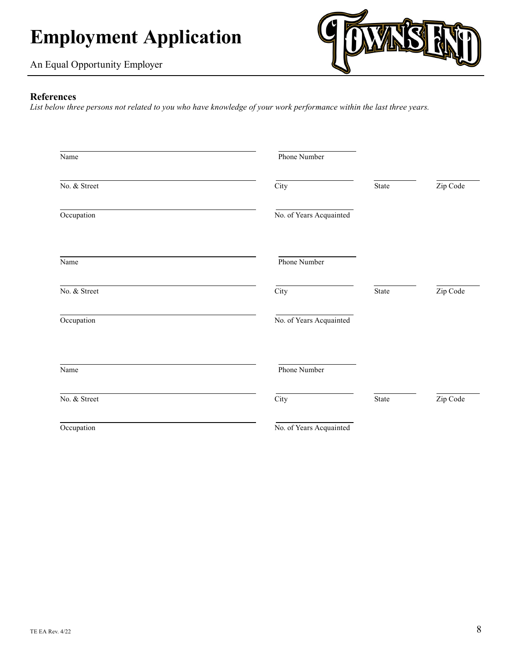

#### **References**

*List below three persons not related to you who have knowledge of your work performance within the last three years.*

| Name         | Phone Number            |              |          |
|--------------|-------------------------|--------------|----------|
| No. & Street | City                    | State        | Zip Code |
| Occupation   | No. of Years Acquainted |              |          |
| Name         | Phone Number            |              |          |
| No. & Street | City                    | <b>State</b> | Zip Code |
| Occupation   | No. of Years Acquainted |              |          |
| Name         | Phone Number            |              |          |
| No. & Street | City                    | State        | Zip Code |
| Occupation   | No. of Years Acquainted |              |          |